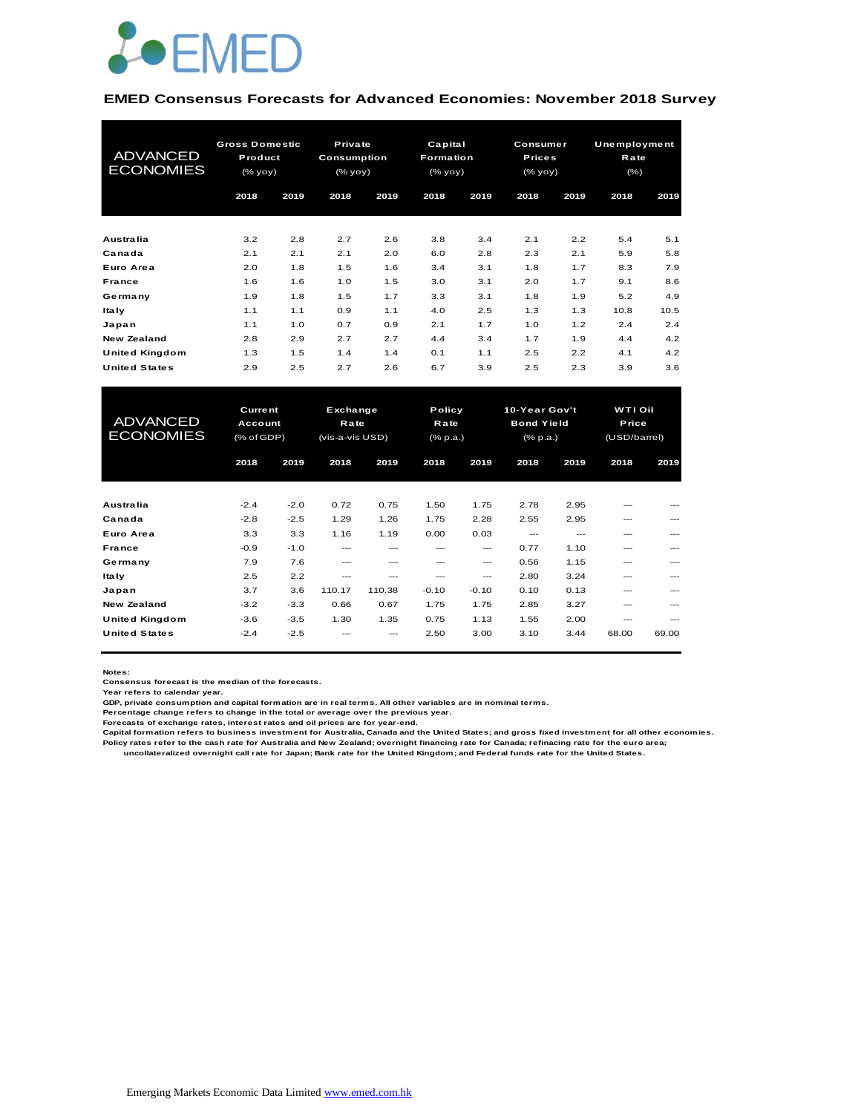

#### **EMED Consensus Forecasts for Advanced Economies: November 2018 Survey**

| <b>ADVANCED</b><br><b>ECONOMIES</b> | <b>Gross Domestic</b><br>Product<br>$(\%$ yoy) |      |      |      | Private<br><b>Consumption</b><br>(% yoy) |      | Capital<br>Formation<br>(% yoy) |      | Consumer<br><b>Prices</b><br>(% yoy) |      | Unemployment<br>Rate<br>$(\% )$ |  |
|-------------------------------------|------------------------------------------------|------|------|------|------------------------------------------|------|---------------------------------|------|--------------------------------------|------|---------------------------------|--|
|                                     | 2018                                           | 2019 | 2018 | 2019 | 2018                                     | 2019 | 2018                            | 2019 | 2018                                 | 2019 |                                 |  |
| Australia                           | 3.2                                            | 2.8  | 2.7  | 2.6  | 3.8                                      | 3.4  | 2.1                             | 2.2  | 5.4                                  | 5.1  |                                 |  |
| Canada                              | 2.1                                            | 2.1  | 2.1  | 2.0  | 6.0                                      | 2.8  | 2.3                             | 2.1  | 5.9                                  | 5.8  |                                 |  |
| Euro Area                           | 2.0                                            | 1.8  | 1.5  | 1.6  | 3.4                                      | 3.1  | 1.8                             | 1.7  | 8.3                                  | 7.9  |                                 |  |
| <b>France</b>                       | 1.6                                            | 1.6  | 1.0  | 1.5  | 3.0                                      | 3.1  | 2.0                             | 1.7  | 9.1                                  | 8.6  |                                 |  |
| Germany                             | 1.9                                            | 1.8  | 1.5  | 1.7  | 3.3                                      | 3.1  | 1.8                             | 1.9  | 5.2                                  | 4.9  |                                 |  |
| <b>Italy</b>                        | 1.1                                            | 1.1  | 0.9  | 1.1  | 4.0                                      | 2.5  | 1.3                             | 1.3  | 10.8                                 | 10.5 |                                 |  |
| Japan                               | 1.1                                            | 1.0  | 0.7  | 0.9  | 2.1                                      | 1.7  | 1.0                             | 1.2  | 2.4                                  | 2.4  |                                 |  |
| New Zealand                         | 2.8                                            | 2.9  | 2.7  | 2.7  | 4.4                                      | 3.4  | 1.7                             | 1.9  | 4.4                                  | 4.2  |                                 |  |
| <b>United Kingdom</b>               | 1.3                                            | 1.5  | 1.4  | 1.4  | 0.1                                      | 1.1  | 2.5                             | 2.2  | 4.1                                  | 4.2  |                                 |  |
| <b>United States</b>                | 2.9                                            | 2.5  | 2.7  | 2.6  | 6.7                                      | 3.9  | 2.5                             | 2.3  | 3.9                                  | 3.6  |                                 |  |

| <b>United Kingdom</b>               | 1.3                                     | 1.5    | 1.4                                        | 1.4    | 0.1     | 1.1                        | 2.5      | 2.2                                            | 4.1   | 4.2                              |  |
|-------------------------------------|-----------------------------------------|--------|--------------------------------------------|--------|---------|----------------------------|----------|------------------------------------------------|-------|----------------------------------|--|
| <b>United States</b>                | 2.9                                     | 2.5    | 2.7                                        | 2.6    | 6.7     | 3.9                        | 2.5      | 2.3                                            | 3.9   | 3.6                              |  |
|                                     |                                         |        |                                            |        |         |                            |          |                                                |       |                                  |  |
| <b>ADVANCED</b><br><b>ECONOMIES</b> | <b>Current</b><br>Account<br>(% of GDP) |        | Exchange<br><b>Rate</b><br>(vis-a-vis USD) |        |         | Policy<br>Rate<br>(% p.a.) |          | 10-Year Gov't<br><b>Bond Yield</b><br>(% p.a.) |       | WTI Oil<br>Price<br>(USD/barrel) |  |
|                                     | 2018                                    | 2019   | 2018                                       | 2019   | 2018    | 2019                       | 2018     | 2019                                           | 2018  | 2019                             |  |
|                                     |                                         |        |                                            |        |         |                            |          |                                                |       |                                  |  |
| Australia                           | $-2.4$                                  | $-2.0$ | 0.72                                       | 0.75   | 1.50    | 1.75                       | 2.78     | 2.95                                           |       |                                  |  |
| Canada                              | $-2.8$                                  | $-2.5$ | 1.29                                       | 1.26   | 1.75    | 2.28                       | 2.55     | 2.95                                           | ---   | ---                              |  |
| Euro Area                           | 3.3                                     | 3.3    | 1.16                                       | 1.19   | 0.00    | 0.03                       | $\cdots$ | ---                                            | ---   | ---                              |  |
| France                              | $-0.9$                                  | $-1.0$ | $---$                                      | ---    | ---     | ---                        | 0.77     | 1.10                                           | ---   |                                  |  |
| Germany                             | 7.9                                     | 7.6    | ---                                        | ---    | ---     | ---                        | 0.56     | 1.15                                           | ---   |                                  |  |
| <b>Italy</b>                        | 2.5                                     | 2.2    | ---                                        | ---    | ---     | ---                        | 2.80     | 3.24                                           | ---   |                                  |  |
| Japan                               | 3.7                                     | 3.6    | 110.17                                     | 110.38 | $-0.10$ | $-0.10$                    | 0.10     | 0.13                                           | ---   | ---                              |  |
| <b>New Zealand</b>                  | $-3.2$                                  | $-3.3$ | 0.66                                       | 0.67   | 1.75    | 1.75                       | 2.85     | 3.27                                           | ---   | ---                              |  |
| United Kingdom                      | $-3.6$                                  | $-3.5$ | 1.30                                       | 1.35   | 0.75    | 1.13                       | 1.55     | 2.00                                           | ---   | ---                              |  |
| <b>United States</b>                | $-2.4$                                  | $-2.5$ |                                            |        | 2.50    | 3.00                       | 3.10     | 3.44                                           | 68.00 | 69.00                            |  |

**Notes:** 

**Consensus forecast is the median of the forecasts.**

**Year refers to calendar year.**

**GDP, private consumption and capital formation are in real terms. All other variables are in nominal terms.**

**Percentage change refers to change in the total or average over the previous year.**

**Forecasts of exchange rates, interest rates and oil prices are for year-end.**

Capital formation refers to business investment for Australia, Canada and the United States; and gross fixed investment for all other economies.<br>Policy rates refer to the cash rate for Australia and New Zealand; overnight

 **uncollateralized overnight call rate for Japan; Bank rate for the United Kingdom; and Federal funds rate for the United States.**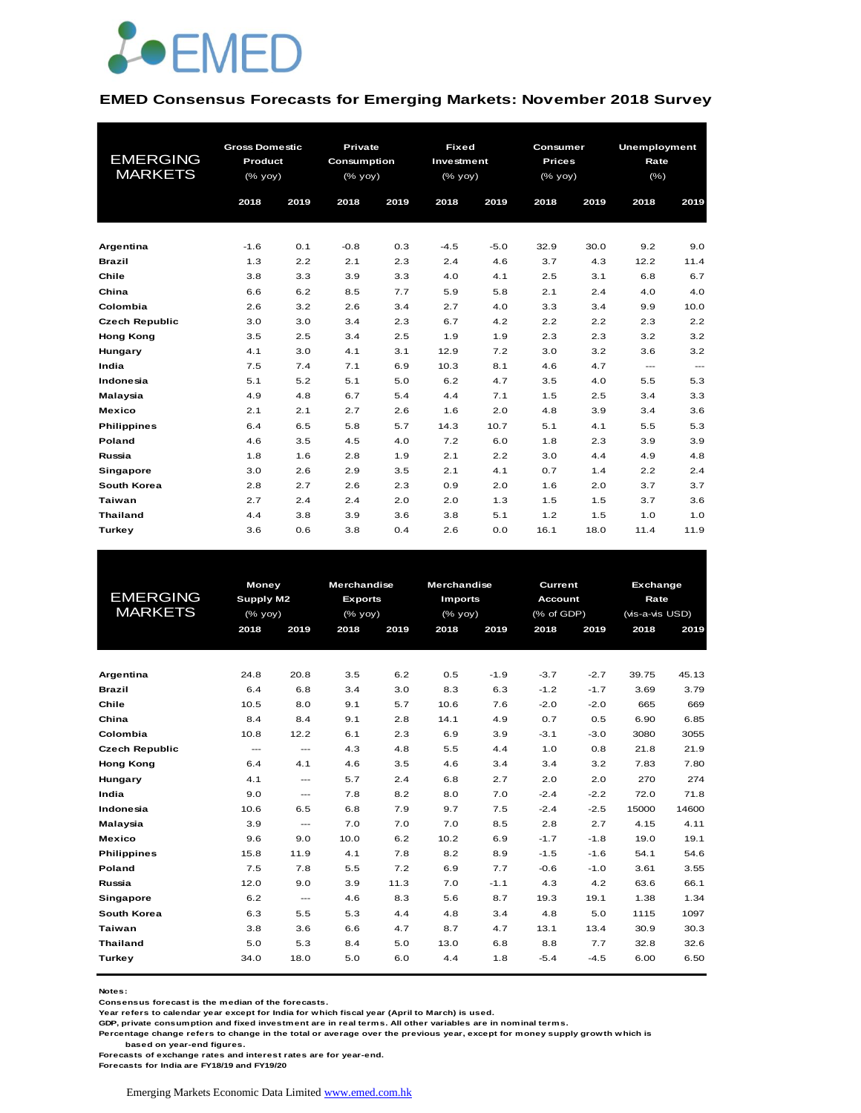

#### **EMED Consensus Forecasts for Emerging Markets: November 2018 Survey**

|                       | <b>Gross Domestic</b> |      | Private     |      | <b>Fixed</b> |        | Consumer      |      | <b>Unemployment</b>      |                          |
|-----------------------|-----------------------|------|-------------|------|--------------|--------|---------------|------|--------------------------|--------------------------|
| <b>EMERGING</b>       | Product               |      | Consumption |      | Investment   |        | <b>Prices</b> |      | Rate                     |                          |
| <b>MARKETS</b>        | $(%$ (% yoy)          |      | (% yoy)     |      | $(%$ (% yoy) |        | $(\%$ yoy)    |      | $(\% )$                  |                          |
|                       | 2018                  | 2019 | 2018        | 2019 | 2018         | 2019   | 2018          | 2019 | 2018                     | 2019                     |
|                       |                       |      |             |      |              |        |               |      |                          |                          |
|                       |                       |      |             |      |              |        |               |      |                          |                          |
| Argentina             | $-1.6$                | 0.1  | $-0.8$      | 0.3  | $-4.5$       | $-5.0$ | 32.9          | 30.0 | 9.2                      | 9.0                      |
| <b>Brazil</b>         | 1.3                   | 2.2  | 2.1         | 2.3  | 2.4          | 4.6    | 3.7           | 4.3  | 12.2                     | 11.4                     |
| Chile                 | 3.8                   | 3.3  | 3.9         | 3.3  | 4.0          | 4.1    | 2.5           | 3.1  | 6.8                      | 6.7                      |
| China                 | 6.6                   | 6.2  | 8.5         | 7.7  | 5.9          | 5.8    | 2.1           | 2.4  | 4.0                      | 4.0                      |
| Colombia              | 2.6                   | 3.2  | 2.6         | 3.4  | 2.7          | 4.0    | 3.3           | 3.4  | 9.9                      | 10.0                     |
| <b>Czech Republic</b> | 3.0                   | 3.0  | 3.4         | 2.3  | 6.7          | 4.2    | 2.2           | 2.2  | 2.3                      | 2.2                      |
| <b>Hong Kong</b>      | 3.5                   | 2.5  | 3.4         | 2.5  | 1.9          | 1.9    | 2.3           | 2.3  | 3.2                      | 3.2                      |
| Hungary               | 4.1                   | 3.0  | 4.1         | 3.1  | 12.9         | 7.2    | 3.0           | 3.2  | 3.6                      | 3.2                      |
| India                 | 7.5                   | 7.4  | 7.1         | 6.9  | 10.3         | 8.1    | 4.6           | 4.7  | $\hspace{0.05cm} \ldots$ | $\hspace{0.05cm} \ldots$ |
| Indonesia             | 5.1                   | 5.2  | 5.1         | 5.0  | 6.2          | 4.7    | 3.5           | 4.0  | 5.5                      | 5.3                      |
| Malaysia              | 4.9                   | 4.8  | 6.7         | 5.4  | 4.4          | 7.1    | 1.5           | 2.5  | 3.4                      | 3.3                      |
| <b>Mexico</b>         | 2.1                   | 2.1  | 2.7         | 2.6  | 1.6          | 2.0    | 4.8           | 3.9  | 3.4                      | 3.6                      |
| <b>Philippines</b>    | 6.4                   | 6.5  | 5.8         | 5.7  | 14.3         | 10.7   | 5.1           | 4.1  | 5.5                      | 5.3                      |
| <b>Poland</b>         | 4.6                   | 3.5  | 4.5         | 4.0  | 7.2          | 6.0    | 1.8           | 2.3  | 3.9                      | 3.9                      |
| Russia                | 1.8                   | 1.6  | 2.8         | 1.9  | 2.1          | 2.2    | 3.0           | 4.4  | 4.9                      | 4.8                      |
| Singapore             | 3.0                   | 2.6  | 2.9         | 3.5  | 2.1          | 4.1    | 0.7           | 1.4  | 2.2                      | 2.4                      |
| South Korea           | 2.8                   | 2.7  | 2.6         | 2.3  | 0.9          | 2.0    | 1.6           | 2.0  | 3.7                      | 3.7                      |
| Taiwan                | 2.7                   | 2.4  | 2.4         | 2.0  | 2.0          | 1.3    | 1.5           | 1.5  | 3.7                      | 3.6                      |
| <b>Thailand</b>       | 4.4                   | 3.8  | 3.9         | 3.6  | 3.8          | 5.1    | 1.2           | 1.5  | 1.0                      | 1.0                      |
| Turkey                | 3.6                   | 0.6  | 3.8         | 0.4  | 2.6          | 0.0    | 16.1          | 18.0 | 11.4                     | 11.9                     |

|                       | Money                    |                          | <b>Merchandise</b>  |      | <b>Merchandise</b> |        | Current        |        | <b>Exchange</b> |       |  |  |
|-----------------------|--------------------------|--------------------------|---------------------|------|--------------------|--------|----------------|--------|-----------------|-------|--|--|
| <b>EMERGING</b>       | <b>Supply M2</b>         |                          | <b>Exports</b>      |      | <b>Imports</b>     |        | <b>Account</b> |        | Rate            |       |  |  |
| <b>MARKETS</b>        | $(%$ (% yoy)             |                          | $(\frac{9}{6}$ yoy) |      | $(\%$ yoy)         |        | (% of GDP)     |        | (vis-a-vis USD) |       |  |  |
|                       | 2018                     | 2019                     | 2018                | 2019 | 2018               | 2019   | 2018           | 2019   | 2018            | 2019  |  |  |
|                       |                          |                          |                     |      |                    |        |                |        |                 |       |  |  |
| Argentina             | 24.8                     | 20.8                     | 3.5                 | 6.2  | 0.5                | $-1.9$ | $-3.7$         | $-2.7$ | 39.75           | 45.13 |  |  |
| <b>Brazil</b>         | 6.4                      | 6.8                      | 3.4                 | 3.0  | 8.3                | 6.3    | $-1.2$         | $-1.7$ | 3.69            | 3.79  |  |  |
| Chile                 | 10.5                     | 8.0                      | 9.1                 | 5.7  | 10.6               | 7.6    | $-2.0$         | $-2.0$ | 665             | 669   |  |  |
| China                 | 8.4                      | 8.4                      | 9.1                 | 2.8  | 14.1               | 4.9    | 0.7            | 0.5    | 6.90            | 6.85  |  |  |
| Colombia              | 10.8                     | 12.2                     | 6.1                 | 2.3  | 6.9                | 3.9    | $-3.1$         | $-3.0$ | 3080            | 3055  |  |  |
| <b>Czech Republic</b> | $\hspace{0.05cm} \ldots$ | ---                      | 4.3                 | 4.8  | 5.5                | 4.4    | 1.0            | 0.8    | 21.8            | 21.9  |  |  |
| <b>Hong Kong</b>      | 6.4                      | 4.1                      | 4.6                 | 3.5  | 4.6                | 3.4    | 3.4            | 3.2    | 7.83            | 7.80  |  |  |
| Hungary               | 4.1                      | $\overline{\phantom{a}}$ | 5.7                 | 2.4  | 6.8                | 2.7    | 2.0            | 2.0    | 270             | 274   |  |  |
| India                 | 9.0                      | ---                      | 7.8                 | 8.2  | 8.0                | 7.0    | $-2.4$         | $-2.2$ | 72.0            | 71.8  |  |  |
| Indonesia             | 10.6                     | 6.5                      | 6.8                 | 7.9  | 9.7                | 7.5    | $-2.4$         | $-2.5$ | 15000           | 14600 |  |  |
| Malaysia              | 3.9                      | $\overline{\phantom{a}}$ | 7.0                 | 7.0  | 7.0                | 8.5    | 2.8            | 2.7    | 4.15            | 4.11  |  |  |
| <b>Mexico</b>         | 9.6                      | 9.0                      | 10.0                | 6.2  | 10.2               | 6.9    | $-1.7$         | $-1.8$ | 19.0            | 19.1  |  |  |
| <b>Philippines</b>    | 15.8                     | 11.9                     | 4.1                 | 7.8  | 8.2                | 8.9    | $-1.5$         | $-1.6$ | 54.1            | 54.6  |  |  |
| <b>Poland</b>         | 7.5                      | 7.8                      | 5.5                 | 7.2  | 6.9                | 7.7    | $-0.6$         | $-1.0$ | 3.61            | 3.55  |  |  |
| Russia                | 12.0                     | 9.0                      | 3.9                 | 11.3 | 7.0                | $-1.1$ | 4.3            | 4.2    | 63.6            | 66.1  |  |  |
| Singapore             | 6.2                      | ---                      | 4.6                 | 8.3  | 5.6                | 8.7    | 19.3           | 19.1   | 1.38            | 1.34  |  |  |
| South Korea           | 6.3                      | 5.5                      | 5.3                 | 4.4  | 4.8                | 3.4    | 4.8            | 5.0    | 1115            | 1097  |  |  |
| Taiwan                | 3.8                      | 3.6                      | 6.6                 | 4.7  | 8.7                | 4.7    | 13.1           | 13.4   | 30.9            | 30.3  |  |  |
| <b>Thailand</b>       | 5.0                      | 5.3                      | 8.4                 | 5.0  | 13.0               | 6.8    | 8.8            | 7.7    | 32.8            | 32.6  |  |  |
| Turkey                | 34.0                     | 18.0                     | 5.0                 | 6.0  | 4.4                | 1.8    | $-5.4$         | $-4.5$ | 6.00            | 6.50  |  |  |
|                       |                          |                          |                     |      |                    |        |                |        |                 |       |  |  |

**Notes:** 

**Consensus forecast is the median of the forecasts.**

**Year refers to calendar year except for India for which fiscal year (April to March) is used.**

**GDP, private consumption and fixed investment are in real terms. All other variables are in nominal terms.**

**Percentage change refers to change in the total or average over the previous year, except for money supply growth which is** 

 **based on year-end figures.**

**Forecasts of exchange rates and interest rates are for year-end. Forecasts for India are FY18/19 and FY19/20**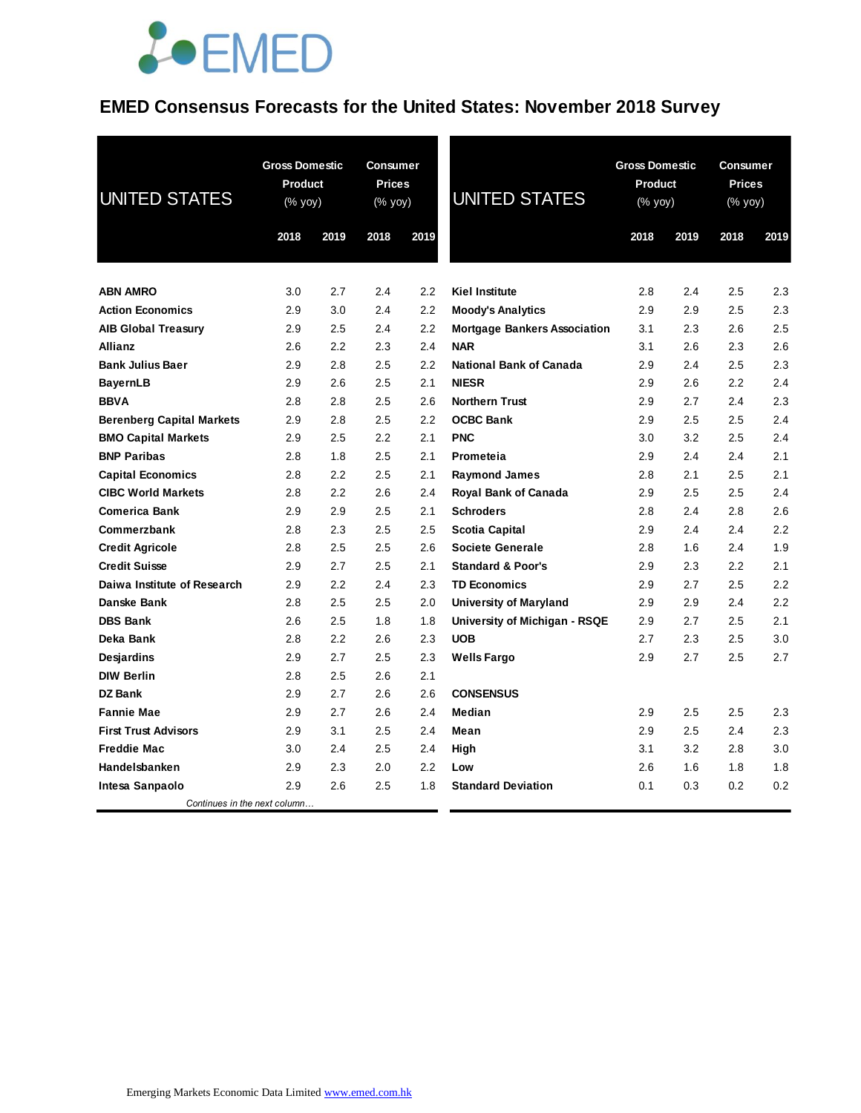### **EMED Consensus Forecasts for the United States: November 2018 Survey**

| <b>UNITED STATES</b>             | <b>Gross Domestic</b><br>Product<br>(% yoy)<br>2018<br>2019 |     | <b>Consumer</b><br><b>Prices</b><br>(% yoy)<br>2018 | 2019 | <b>UNITED STATES</b>                | <b>Gross Domestic</b><br>Product<br>(% yoy)<br>2018 | 2019 | <b>Consumer</b><br><b>Prices</b><br>(% yoy)<br>2018<br>2019 |     |
|----------------------------------|-------------------------------------------------------------|-----|-----------------------------------------------------|------|-------------------------------------|-----------------------------------------------------|------|-------------------------------------------------------------|-----|
|                                  |                                                             |     |                                                     |      |                                     |                                                     |      |                                                             |     |
| <b>ABN AMRO</b>                  | 3.0                                                         | 2.7 | 2.4                                                 | 2.2  | <b>Kiel Institute</b>               | 2.8                                                 | 2.4  | 2.5                                                         | 2.3 |
| <b>Action Economics</b>          | 2.9                                                         | 3.0 | 2.4                                                 | 2.2  | <b>Moody's Analytics</b>            | 2.9                                                 | 2.9  | 2.5                                                         | 2.3 |
| <b>AIB Global Treasury</b>       | 2.9                                                         | 2.5 | 2.4                                                 | 2.2  | <b>Mortgage Bankers Association</b> | 3.1                                                 | 2.3  | 2.6                                                         | 2.5 |
| Allianz                          | 2.6                                                         | 2.2 | 2.3                                                 | 2.4  | <b>NAR</b>                          | 3.1                                                 | 2.6  | 2.3                                                         | 2.6 |
| <b>Bank Julius Baer</b>          | 2.9                                                         | 2.8 | $2.5\,$                                             | 2.2  | <b>National Bank of Canada</b>      | 2.9                                                 | 2.4  | 2.5                                                         | 2.3 |
| <b>BayernLB</b>                  | 2.9                                                         | 2.6 | 2.5                                                 | 2.1  | <b>NIESR</b>                        | 2.9                                                 | 2.6  | $2.2\,$                                                     | 2.4 |
| <b>BBVA</b>                      | 2.8                                                         | 2.8 | 2.5                                                 | 2.6  | <b>Northern Trust</b>               | 2.9                                                 | 2.7  | 2.4                                                         | 2.3 |
| <b>Berenberg Capital Markets</b> | 2.9                                                         | 2.8 | 2.5                                                 | 2.2  | <b>OCBC Bank</b>                    | 2.9                                                 | 2.5  | 2.5                                                         | 2.4 |
| <b>BMO Capital Markets</b>       | 2.9                                                         | 2.5 | 2.2                                                 | 2.1  | <b>PNC</b>                          | 3.0                                                 | 3.2  | 2.5                                                         | 2.4 |
| <b>BNP Paribas</b>               | 2.8                                                         | 1.8 | 2.5                                                 | 2.1  | Prometeia                           | 2.9                                                 | 2.4  | 2.4                                                         | 2.1 |
| <b>Capital Economics</b>         | 2.8                                                         | 2.2 | 2.5                                                 | 2.1  | <b>Raymond James</b>                | 2.8                                                 | 2.1  | 2.5                                                         | 2.1 |
| <b>CIBC World Markets</b>        | 2.8                                                         | 2.2 | 2.6                                                 | 2.4  | <b>Royal Bank of Canada</b>         | 2.9                                                 | 2.5  | 2.5                                                         | 2.4 |
| <b>Comerica Bank</b>             | 2.9                                                         | 2.9 | 2.5                                                 | 2.1  | <b>Schroders</b>                    | 2.8                                                 | 2.4  | 2.8                                                         | 2.6 |
| Commerzbank                      | 2.8                                                         | 2.3 | 2.5                                                 | 2.5  | <b>Scotia Capital</b>               | 2.9                                                 | 2.4  | 2.4                                                         | 2.2 |
| <b>Credit Agricole</b>           | 2.8                                                         | 2.5 | 2.5                                                 | 2.6  | <b>Societe Generale</b>             | 2.8                                                 | 1.6  | 2.4                                                         | 1.9 |
| <b>Credit Suisse</b>             | 2.9                                                         | 2.7 | 2.5                                                 | 2.1  | <b>Standard &amp; Poor's</b>        | 2.9                                                 | 2.3  | 2.2                                                         | 2.1 |
| Daiwa Institute of Research      | 2.9                                                         | 2.2 | 2.4                                                 | 2.3  | <b>TD Economics</b>                 | 2.9                                                 | 2.7  | 2.5                                                         | 2.2 |
| Danske Bank                      | 2.8                                                         | 2.5 | 2.5                                                 | 2.0  | <b>University of Maryland</b>       | 2.9                                                 | 2.9  | 2.4                                                         | 2.2 |
| <b>DBS Bank</b>                  | 2.6                                                         | 2.5 | 1.8                                                 | 1.8  | University of Michigan - RSQE       | 2.9                                                 | 2.7  | 2.5                                                         | 2.1 |
| Deka Bank                        | 2.8                                                         | 2.2 | 2.6                                                 | 2.3  | <b>UOB</b>                          | 2.7                                                 | 2.3  | 2.5                                                         | 3.0 |
| Desjardins                       | 2.9                                                         | 2.7 | 2.5                                                 | 2.3  | <b>Wells Fargo</b>                  | 2.9                                                 | 2.7  | 2.5                                                         | 2.7 |
| <b>DIW Berlin</b>                | 2.8                                                         | 2.5 | 2.6                                                 | 2.1  |                                     |                                                     |      |                                                             |     |
| <b>DZ Bank</b>                   | 2.9                                                         | 2.7 | 2.6                                                 | 2.6  | <b>CONSENSUS</b>                    |                                                     |      |                                                             |     |
| <b>Fannie Mae</b>                | 2.9                                                         | 2.7 | 2.6                                                 | 2.4  | Median                              | 2.9                                                 | 2.5  | 2.5                                                         | 2.3 |
| <b>First Trust Advisors</b>      | 2.9                                                         | 3.1 | 2.5                                                 | 2.4  | Mean                                | 2.9                                                 | 2.5  | 2.4                                                         | 2.3 |
| <b>Freddie Mac</b>               | 3.0                                                         | 2.4 | 2.5                                                 | 2.4  | High                                | 3.1                                                 | 3.2  | 2.8                                                         | 3.0 |
| Handelsbanken                    | 2.9                                                         | 2.3 | 2.0                                                 | 2.2  | Low                                 | 2.6                                                 | 1.6  | 1.8                                                         | 1.8 |
| Intesa Sanpaolo                  | 2.9                                                         | 2.6 | 2.5                                                 | 1.8  | <b>Standard Deviation</b>           | 0.1                                                 | 0.3  | 0.2                                                         | 0.2 |
| Continues in the next column     |                                                             |     |                                                     |      |                                     |                                                     |      |                                                             |     |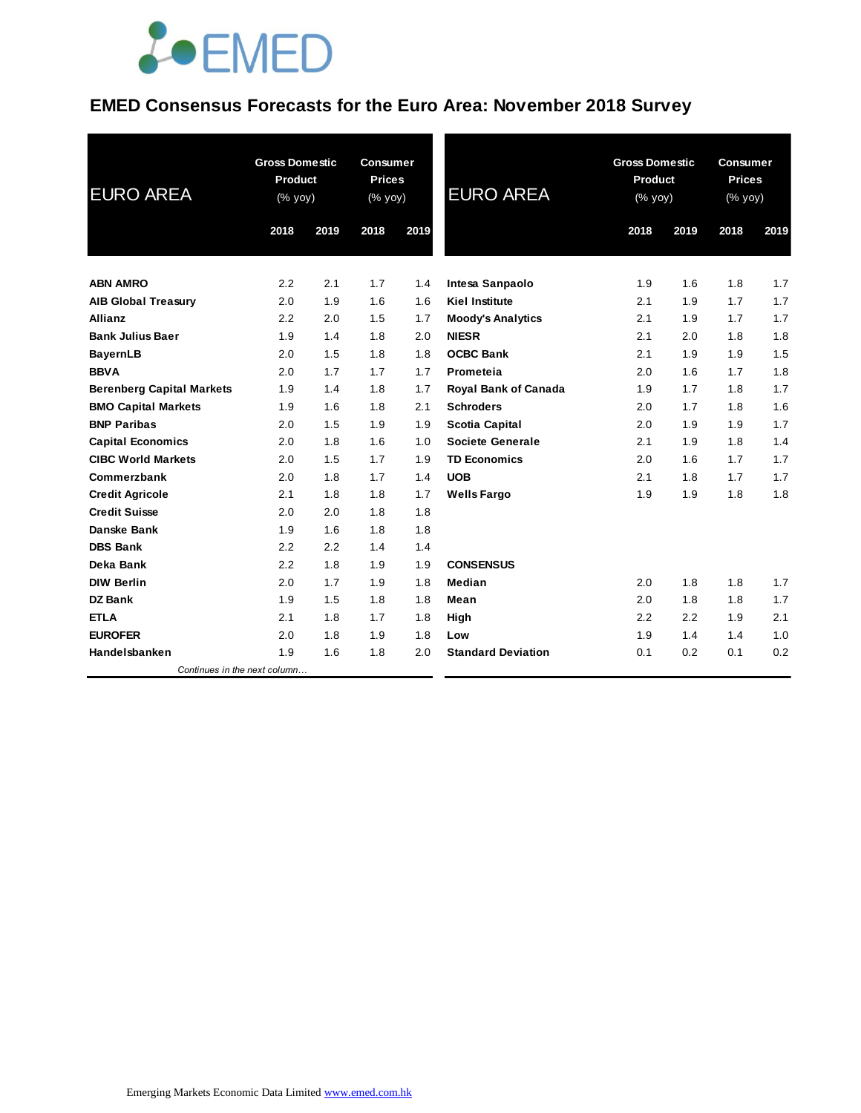### **EMED Consensus Forecasts for the Euro Area: November 2018 Survey**

| <b>EURO AREA</b>                 | <b>Gross Domestic</b><br><b>Product</b><br>(% yoy) |      | <b>Consumer</b><br><b>Prices</b><br>(% yoy) |      | <b>EURO AREA</b>            | <b>Gross Domestic</b><br><b>Product</b><br>(% yoy) |      | <b>Consumer</b><br><b>Prices</b><br>(% yoy) |      |
|----------------------------------|----------------------------------------------------|------|---------------------------------------------|------|-----------------------------|----------------------------------------------------|------|---------------------------------------------|------|
|                                  | 2018                                               | 2019 | 2018                                        | 2019 |                             | 2018                                               | 2019 | 2018                                        | 2019 |
| <b>ABN AMRO</b>                  | 2.2                                                | 2.1  | 1.7                                         | 1.4  | Intesa Sanpaolo             | 1.9                                                | 1.6  | 1.8                                         | 1.7  |
| <b>AIB Global Treasury</b>       | 2.0                                                | 1.9  | 1.6                                         | 1.6  | <b>Kiel Institute</b>       | 2.1                                                | 1.9  | 1.7                                         | 1.7  |
| <b>Allianz</b>                   | 2.2                                                | 2.0  | 1.5                                         | 1.7  | <b>Moody's Analytics</b>    | 2.1                                                | 1.9  | 1.7                                         | 1.7  |
| <b>Bank Julius Baer</b>          | 1.9                                                | 1.4  | 1.8                                         | 2.0  | <b>NIESR</b>                | 2.1                                                | 2.0  | 1.8                                         | 1.8  |
| <b>BayernLB</b>                  | 2.0                                                | 1.5  | 1.8                                         | 1.8  | <b>OCBC Bank</b>            | 2.1                                                | 1.9  | 1.9                                         | 1.5  |
| <b>BBVA</b>                      | 2.0                                                | 1.7  | 1.7                                         | 1.7  | Prometeia                   | 2.0                                                | 1.6  | 1.7                                         | 1.8  |
| <b>Berenberg Capital Markets</b> | 1.9                                                | 1.4  | 1.8                                         | 1.7  | <b>Royal Bank of Canada</b> | 1.9                                                | 1.7  | 1.8                                         | 1.7  |
| <b>BMO Capital Markets</b>       | 1.9                                                | 1.6  | 1.8                                         | 2.1  | <b>Schroders</b>            | 2.0                                                | 1.7  | 1.8                                         | 1.6  |
| <b>BNP Paribas</b>               | 2.0                                                | 1.5  | 1.9                                         | 1.9  | <b>Scotia Capital</b>       | 2.0                                                | 1.9  | 1.9                                         | 1.7  |
| <b>Capital Economics</b>         | 2.0                                                | 1.8  | 1.6                                         | 1.0  | Societe Generale            | 2.1                                                | 1.9  | 1.8                                         | 1.4  |
| <b>CIBC World Markets</b>        | 2.0                                                | 1.5  | 1.7                                         | 1.9  | <b>TD Economics</b>         | 2.0                                                | 1.6  | 1.7                                         | 1.7  |
| Commerzbank                      | 2.0                                                | 1.8  | 1.7                                         | 1.4  | <b>UOB</b>                  | 2.1                                                | 1.8  | 1.7                                         | 1.7  |
| <b>Credit Agricole</b>           | 2.1                                                | 1.8  | 1.8                                         | 1.7  | <b>Wells Fargo</b>          | 1.9                                                | 1.9  | 1.8                                         | 1.8  |
| <b>Credit Suisse</b>             | 2.0                                                | 2.0  | 1.8                                         | 1.8  |                             |                                                    |      |                                             |      |
| Danske Bank                      | 1.9                                                | 1.6  | 1.8                                         | 1.8  |                             |                                                    |      |                                             |      |
| <b>DBS Bank</b>                  | 2.2                                                | 2.2  | 1.4                                         | 1.4  |                             |                                                    |      |                                             |      |
| Deka Bank                        | 2.2                                                | 1.8  | 1.9                                         | 1.9  | <b>CONSENSUS</b>            |                                                    |      |                                             |      |
| <b>DIW Berlin</b>                | 2.0                                                | 1.7  | 1.9                                         | 1.8  | Median                      | 2.0                                                | 1.8  | 1.8                                         | 1.7  |
| <b>DZ Bank</b>                   | 1.9                                                | 1.5  | 1.8                                         | 1.8  | Mean                        | 2.0                                                | 1.8  | 1.8                                         | 1.7  |
| <b>ETLA</b>                      | 2.1                                                | 1.8  | 1.7                                         | 1.8  | High                        | 2.2                                                | 2.2  | 1.9                                         | 2.1  |
| <b>EUROFER</b>                   | 2.0                                                | 1.8  | 1.9                                         | 1.8  | Low                         | 1.9                                                | 1.4  | 1.4                                         | 1.0  |
| Handelsbanken                    | 1.9                                                | 1.6  | 1.8                                         | 2.0  | <b>Standard Deviation</b>   | 0.1                                                | 0.2  | 0.1                                         | 0.2  |
| Continues in the next column     |                                                    |      |                                             |      |                             |                                                    |      |                                             |      |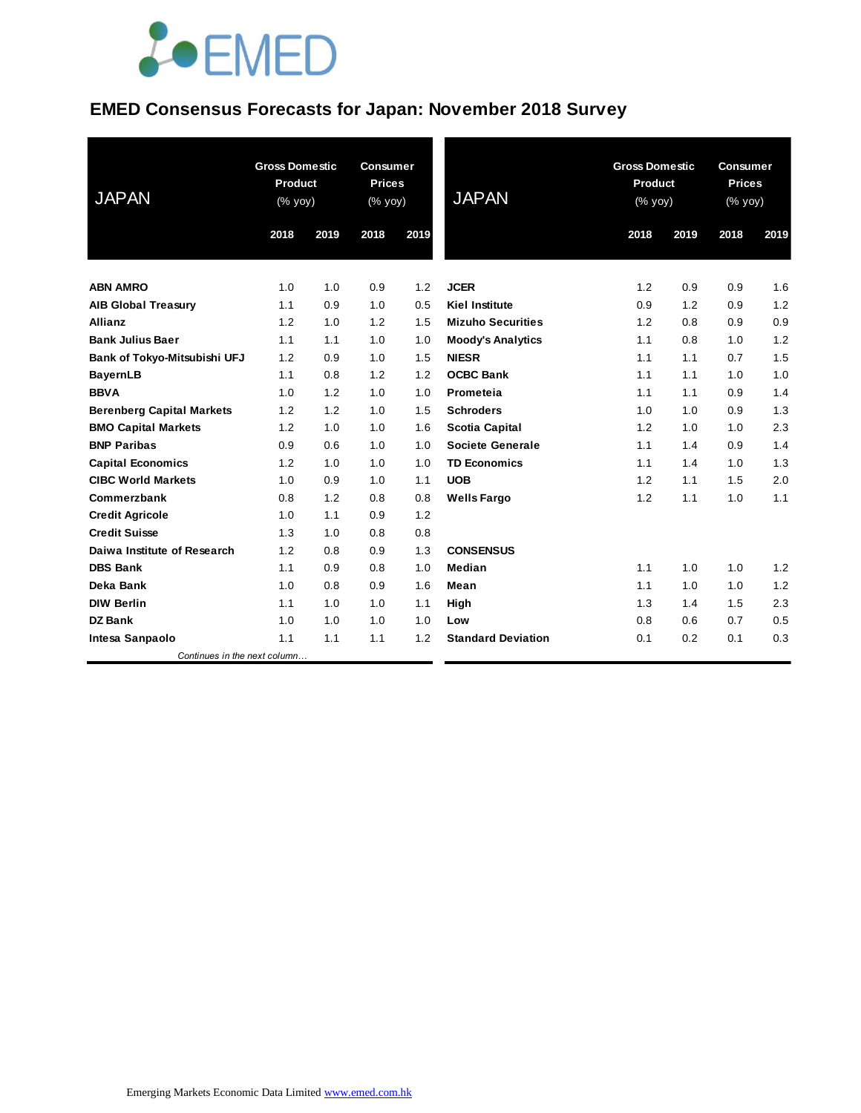### **EMED Consensus Forecasts for Japan: November 2018 Survey**

| <b>JAPAN</b>                     | <b>Gross Domestic</b><br><b>Product</b><br>$(% \mathsf{Y}^{\prime }\mathsf{Y}^{\prime }\mathsf{Y}^{\prime })$ |      | <b>Consumer</b><br><b>Prices</b><br>(% yoy) |      | <b>JAPAN</b>              | <b>Gross Domestic</b><br>Product<br>(% yoy) |      | <b>Consumer</b><br><b>Prices</b><br>$(% \mathsf{Y}\cup \mathsf{Y})$ |      |
|----------------------------------|---------------------------------------------------------------------------------------------------------------|------|---------------------------------------------|------|---------------------------|---------------------------------------------|------|---------------------------------------------------------------------|------|
|                                  | 2018                                                                                                          | 2019 | 2018                                        | 2019 |                           | 2018                                        | 2019 | 2018                                                                | 2019 |
| <b>ABN AMRO</b>                  | 1.0                                                                                                           | 1.0  | 0.9                                         | 1.2  | <b>JCER</b>               | 1.2                                         | 0.9  | 0.9                                                                 | 1.6  |
| <b>AIB Global Treasury</b>       | 1.1                                                                                                           | 0.9  | 1.0                                         | 0.5  | <b>Kiel Institute</b>     | 0.9                                         | 1.2  | 0.9                                                                 | 1.2  |
| Allianz                          | 1.2                                                                                                           | 1.0  | 1.2                                         | 1.5  | <b>Mizuho Securities</b>  | 1.2                                         | 0.8  | 0.9                                                                 | 0.9  |
| <b>Bank Julius Baer</b>          | 1.1                                                                                                           | 1.1  | 1.0                                         | 1.0  | <b>Moody's Analytics</b>  | 1.1                                         | 0.8  | 1.0                                                                 | 1.2  |
| Bank of Tokyo-Mitsubishi UFJ     | 1.2                                                                                                           | 0.9  | 1.0                                         | 1.5  | <b>NIESR</b>              | 1.1                                         | 1.1  | 0.7                                                                 | 1.5  |
| <b>BayernLB</b>                  | 1.1                                                                                                           | 0.8  | 1.2                                         | 1.2  | <b>OCBC Bank</b>          | 1.1                                         | 1.1  | 1.0                                                                 | 1.0  |
| <b>BBVA</b>                      | 1.0                                                                                                           | 1.2  | 1.0                                         | 1.0  | Prometeia                 | 1.1                                         | 1.1  | 0.9                                                                 | 1.4  |
| <b>Berenberg Capital Markets</b> | 1.2                                                                                                           | 1.2  | 1.0                                         | 1.5  | <b>Schroders</b>          | 1.0                                         | 1.0  | 0.9                                                                 | 1.3  |
| <b>BMO Capital Markets</b>       | 1.2                                                                                                           | 1.0  | 1.0                                         | 1.6  | <b>Scotia Capital</b>     | 1.2                                         | 1.0  | 1.0                                                                 | 2.3  |
| <b>BNP Paribas</b>               | 0.9                                                                                                           | 0.6  | 1.0                                         | 1.0  | Societe Generale          | 1.1                                         | 1.4  | 0.9                                                                 | 1.4  |
| <b>Capital Economics</b>         | 1.2                                                                                                           | 1.0  | 1.0                                         | 1.0  | <b>TD Economics</b>       | 1.1                                         | 1.4  | 1.0                                                                 | 1.3  |
| <b>CIBC World Markets</b>        | 1.0                                                                                                           | 0.9  | 1.0                                         | 1.1  | <b>UOB</b>                | 1.2                                         | 1.1  | 1.5                                                                 | 2.0  |
| Commerzbank                      | 0.8                                                                                                           | 1.2  | 0.8                                         | 0.8  | <b>Wells Fargo</b>        | 1.2                                         | 1.1  | 1.0                                                                 | 1.1  |
| <b>Credit Agricole</b>           | 1.0                                                                                                           | 1.1  | 0.9                                         | 1.2  |                           |                                             |      |                                                                     |      |
| <b>Credit Suisse</b>             | 1.3                                                                                                           | 1.0  | 0.8                                         | 0.8  |                           |                                             |      |                                                                     |      |
| Daiwa Institute of Research      | 1.2                                                                                                           | 0.8  | 0.9                                         | 1.3  | <b>CONSENSUS</b>          |                                             |      |                                                                     |      |
| <b>DBS Bank</b>                  | 1.1                                                                                                           | 0.9  | 0.8                                         | 1.0  | Median                    | 1.1                                         | 1.0  | 1.0                                                                 | 1.2  |
| Deka Bank                        | 1.0                                                                                                           | 0.8  | 0.9                                         | 1.6  | Mean                      | 1.1                                         | 1.0  | 1.0                                                                 | 1.2  |
| <b>DIW Berlin</b>                | 1.1                                                                                                           | 1.0  | 1.0                                         | 1.1  | High                      | 1.3                                         | 1.4  | 1.5                                                                 | 2.3  |
| <b>DZ Bank</b>                   | 1.0                                                                                                           | 1.0  | 1.0                                         | 1.0  | Low                       | 0.8                                         | 0.6  | 0.7                                                                 | 0.5  |
| Intesa Sanpaolo                  | 1.1                                                                                                           | 1.1  | 1.1                                         | 1.2  | <b>Standard Deviation</b> | 0.1                                         | 0.2  | 0.1                                                                 | 0.3  |
| Continues in the next column     |                                                                                                               |      |                                             |      |                           |                                             |      |                                                                     |      |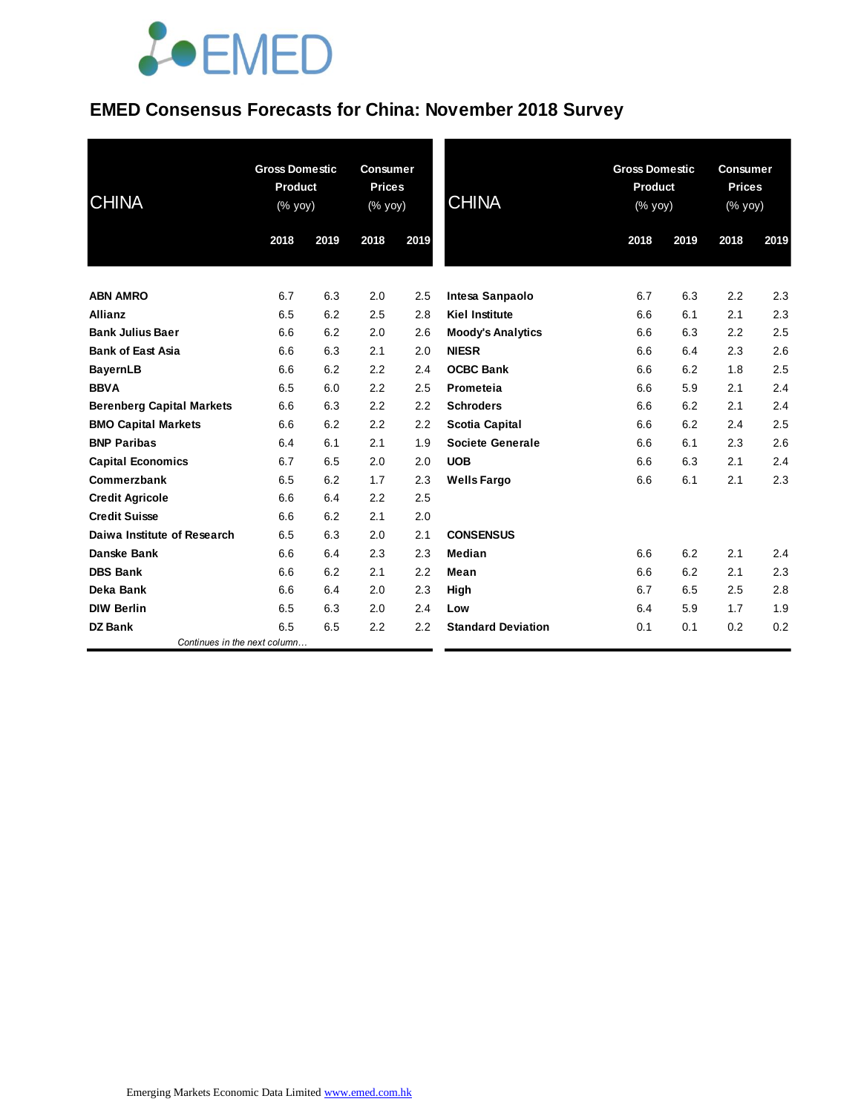### **EMED Consensus Forecasts for China: November 2018 Survey**

| <b>CHINA</b>                     | <b>Gross Domestic</b><br><b>Product</b><br>(% yoy) |      | <b>Consumer</b><br><b>Prices</b><br>(% yoy) |      | <b>CHINA</b>              | <b>Gross Domestic</b><br><b>Product</b><br>(% yoy) |      | <b>Consumer</b><br><b>Prices</b><br>(% yoy) |      |
|----------------------------------|----------------------------------------------------|------|---------------------------------------------|------|---------------------------|----------------------------------------------------|------|---------------------------------------------|------|
|                                  | 2018                                               | 2019 | 2018                                        | 2019 |                           | 2018                                               | 2019 | 2018                                        | 2019 |
| <b>ABN AMRO</b>                  | 6.7                                                | 6.3  | 2.0                                         | 2.5  | Intesa Sanpaolo           | 6.7                                                | 6.3  | 2.2                                         | 2.3  |
| <b>Allianz</b>                   | 6.5                                                | 6.2  | 2.5                                         | 2.8  | <b>Kiel Institute</b>     | 6.6                                                | 6.1  | 2.1                                         | 2.3  |
| <b>Bank Julius Baer</b>          | 6.6                                                | 6.2  | 2.0                                         | 2.6  | <b>Moody's Analytics</b>  | 6.6                                                | 6.3  | 2.2                                         | 2.5  |
| <b>Bank of East Asia</b>         | 6.6                                                | 6.3  | 2.1                                         | 2.0  | <b>NIESR</b>              | 6.6                                                | 6.4  | 2.3                                         | 2.6  |
| <b>BayernLB</b>                  | 6.6                                                | 6.2  | 2.2                                         | 2.4  | <b>OCBC Bank</b>          | 6.6                                                | 6.2  | 1.8                                         | 2.5  |
| <b>BBVA</b>                      | 6.5                                                | 6.0  | 2.2                                         | 2.5  | Prometeia                 | 6.6                                                | 5.9  | 2.1                                         | 2.4  |
| <b>Berenberg Capital Markets</b> | 6.6                                                | 6.3  | 2.2                                         | 2.2  | <b>Schroders</b>          | 6.6                                                | 6.2  | 2.1                                         | 2.4  |
| <b>BMO Capital Markets</b>       | 6.6                                                | 6.2  | 2.2                                         | 2.2  | <b>Scotia Capital</b>     | 6.6                                                | 6.2  | 2.4                                         | 2.5  |
| <b>BNP Paribas</b>               | 6.4                                                | 6.1  | 2.1                                         | 1.9  | Societe Generale          | 6.6                                                | 6.1  | 2.3                                         | 2.6  |
| <b>Capital Economics</b>         | 6.7                                                | 6.5  | 2.0                                         | 2.0  | <b>UOB</b>                | 6.6                                                | 6.3  | 2.1                                         | 2.4  |
| Commerzbank                      | 6.5                                                | 6.2  | 1.7                                         | 2.3  | <b>Wells Fargo</b>        | 6.6                                                | 6.1  | 2.1                                         | 2.3  |
| <b>Credit Agricole</b>           | 6.6                                                | 6.4  | 2.2                                         | 2.5  |                           |                                                    |      |                                             |      |
| <b>Credit Suisse</b>             | 6.6                                                | 6.2  | 2.1                                         | 2.0  |                           |                                                    |      |                                             |      |
| Daiwa Institute of Research      | 6.5                                                | 6.3  | 2.0                                         | 2.1  | <b>CONSENSUS</b>          |                                                    |      |                                             |      |
| Danske Bank                      | 6.6                                                | 6.4  | 2.3                                         | 2.3  | Median                    | 6.6                                                | 6.2  | 2.1                                         | 2.4  |
| <b>DBS Bank</b>                  | 6.6                                                | 6.2  | 2.1                                         | 2.2  | Mean                      | 6.6                                                | 6.2  | 2.1                                         | 2.3  |
| Deka Bank                        | 6.6                                                | 6.4  | 2.0                                         | 2.3  | High                      | 6.7                                                | 6.5  | 2.5                                         | 2.8  |
| <b>DIW Berlin</b>                | 6.5                                                | 6.3  | 2.0                                         | 2.4  | Low                       | 6.4                                                | 5.9  | 1.7                                         | 1.9  |
| <b>DZ Bank</b>                   | 6.5                                                | 6.5  | 2.2                                         | 2.2  | <b>Standard Deviation</b> | 0.1                                                | 0.1  | 0.2                                         | 0.2  |
| Continues in the next column     |                                                    |      |                                             |      |                           |                                                    |      |                                             |      |